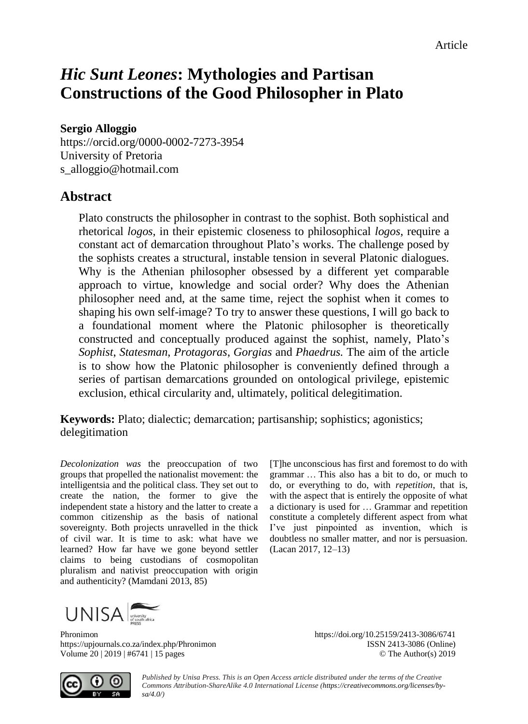# *Hic Sunt Leones***: Mythologies and Partisan Constructions of the Good Philosopher in Plato**

#### **Sergio Alloggio**

[https://orcid.org/0](https://orcid.org/)000-0002-7273-3954 University of Pretoria [s\\_alloggio@hotmail.com](mailto:s_alloggio@hotmail.com)

### **Abstract**

Plato constructs the philosopher in contrast to the sophist. Both sophistical and rhetorical *logos*, in their epistemic closeness to philosophical *logos*, require a constant act of demarcation throughout Plato's works. The challenge posed by the sophists creates a structural, instable tension in several Platonic dialogues. Why is the Athenian philosopher obsessed by a different yet comparable approach to virtue, knowledge and social order? Why does the Athenian philosopher need and, at the same time, reject the sophist when it comes to shaping his own self-image? To try to answer these questions, I will go back to a foundational moment where the Platonic philosopher is theoretically constructed and conceptually produced against the sophist, namely, Plato's *Sophist*, *Statesman*, *Protagoras*, *Gorgias* and *Phaedrus.* The aim of the article is to show how the Platonic philosopher is conveniently defined through a series of partisan demarcations grounded on ontological privilege, epistemic exclusion, ethical circularity and, ultimately, political delegitimation.

**Keywords:** Plato; dialectic; demarcation; partisanship; sophistics; agonistics; delegitimation

*Decolonization was* the preoccupation of two groups that propelled the nationalist movement: the intelligentsia and the political class. They set out to create the nation, the former to give the independent state a history and the latter to create a common citizenship as the basis of national sovereignty. Both projects unravelled in the thick of civil war. It is time to ask: what have we learned? How far have we gone beyond settler claims to being custodians of cosmopolitan pluralism and nativist preoccupation with origin and authenticity? (Mamdani 2013, 85)

[T]he unconscious has first and foremost to do with grammar … This also has a bit to do, or much to do, or everything to do, with *repetition*, that is, with the aspect that is entirely the opposite of what a dictionary is used for … Grammar and repetition constitute a completely different aspect from what I've just pinpointed as invention, which is doubtless no smaller matter, and nor is persuasion. (Lacan 2017, 12–13)

 $UNISA$ 

Phronimon https://doi.org/10.25159/2413-3086/6741 https://upjournals.co.za/index.php/Phronimon ISSN 2413-3086 (Online) Volume 20 | 2019 | #6741 | 15 pages © The Author(s) 2019

 $\odot$ 

*Published by Unisa Press. This is an Open Access article distributed under the terms of the Creative Commons Attribution-ShareAlike 4.0 International License [\(https://creativecommons.org/licenses/by](https://creativecommons.org/licenses/by-sa/4.0/)[sa/4.0/\)](https://creativecommons.org/licenses/by-sa/4.0/)*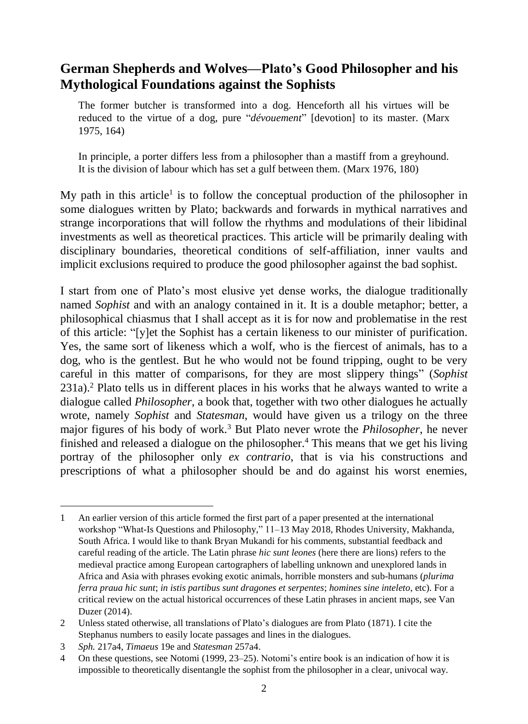## **German Shepherds and Wolves—Plato's Good Philosopher and his Mythological Foundations against the Sophists**

The former butcher is transformed into a dog. Henceforth all his virtues will be reduced to the virtue of a dog, pure "*dévouement*" [devotion] to its master. (Marx 1975, 164)

In principle, a porter differs less from a philosopher than a mastiff from a greyhound. It is the division of labour which has set a gulf between them. (Marx 1976, 180)

My path in this article<sup>1</sup> is to follow the conceptual production of the philosopher in some dialogues written by Plato; backwards and forwards in mythical narratives and strange incorporations that will follow the rhythms and modulations of their libidinal investments as well as theoretical practices. This article will be primarily dealing with disciplinary boundaries, theoretical conditions of self-affiliation, inner vaults and implicit exclusions required to produce the good philosopher against the bad sophist.

I start from one of Plato's most elusive yet dense works, the dialogue traditionally named *Sophist* and with an analogy contained in it. It is a double metaphor; better, a philosophical chiasmus that I shall accept as it is for now and problematise in the rest of this article: "[y]et the Sophist has a certain likeness to our minister of purification. Yes, the same sort of likeness which a wolf, who is the fiercest of animals, has to a dog, who is the gentlest. But he who would not be found tripping, ought to be very careful in this matter of comparisons, for they are most slippery things" (*Sophist* 231a). <sup>2</sup> Plato tells us in different places in his works that he always wanted to write a dialogue called *Philosopher*, a book that, together with two other dialogues he actually wrote, namely *Sophist* and *Statesman*, would have given us a trilogy on the three major figures of his body of work.<sup>3</sup> But Plato never wrote the *Philosopher*, he never finished and released a dialogue on the philosopher.<sup>4</sup> This means that we get his living portray of the philosopher only *ex contrario*, that is via his constructions and prescriptions of what a philosopher should be and do against his worst enemies,

<sup>1</sup> An earlier version of this article formed the first part of a paper presented at the international workshop "What-Is Questions and Philosophy," 11–13 May 2018, Rhodes University, Makhanda, South Africa. I would like to thank Bryan Mukandi for his comments, substantial feedback and careful reading of the article. The Latin phrase *hic sunt leones* (here there are lions) refers to the medieval practice among European cartographers of labelling unknown and unexplored lands in Africa and Asia with phrases evoking exotic animals, horrible monsters and sub-humans (*plurima ferra praua hic sunt*; *in istis partibus sunt dragones et serpentes*; *homines sine inteleto*, etc). For a critical review on the actual historical occurrences of these Latin phrases in ancient maps, see Van Duzer (2014).

<sup>2</sup> Unless stated otherwise, all translations of Plato's dialogues are from Plato (1871). I cite the Stephanus numbers to easily locate passages and lines in the dialogues.

<sup>3</sup> *Sph.* 217a4, *Timaeus* 19e and *Statesman* 257a4.

<sup>4</sup> On these questions, see Notomi (1999, 23–25). Notomi's entire book is an indication of how it is impossible to theoretically disentangle the sophist from the philosopher in a clear, univocal way.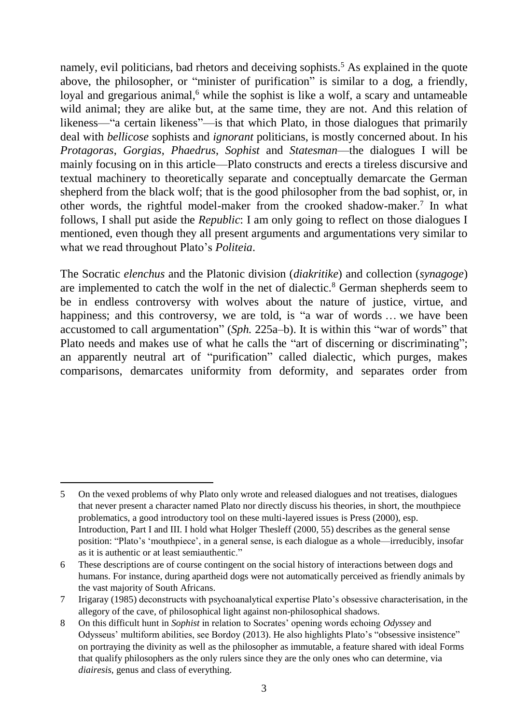namely, evil politicians, bad rhetors and deceiving sophists.<sup>5</sup> As explained in the quote above, the philosopher, or "minister of purification" is similar to a dog, a friendly, loyal and gregarious animal, $6$  while the sophist is like a wolf, a scary and untameable wild animal; they are alike but, at the same time, they are not. And this relation of likeness—"a certain likeness"—is that which Plato, in those dialogues that primarily deal with *bellicose* sophists and *ignorant* politicians, is mostly concerned about. In his *Protagoras*, *Gorgias*, *Phaedrus*, *Sophist* and *Statesman*—the dialogues I will be mainly focusing on in this article—Plato constructs and erects a tireless discursive and textual machinery to theoretically separate and conceptually demarcate the German shepherd from the black wolf; that is the good philosopher from the bad sophist, or, in other words, the rightful model-maker from the crooked shadow-maker.<sup>7</sup> In what follows, I shall put aside the *Republic*: I am only going to reflect on those dialogues I mentioned, even though they all present arguments and argumentations very similar to what we read throughout Plato's *Politeia*.

The Socratic *elenchus* and the Platonic division (*diakritike*) and collection (*synagoge*) are implemented to catch the wolf in the net of dialectic.<sup>8</sup> German shepherds seem to be in endless controversy with wolves about the nature of justice, virtue, and happiness; and this controversy, we are told, is "a war of words ... we have been accustomed to call argumentation" (*Sph.* 225a–b). It is within this "war of words" that Plato needs and makes use of what he calls the "art of discerning or discriminating"; an apparently neutral art of "purification" called dialectic, which purges, makes comparisons, demarcates uniformity from deformity, and separates order from

-

<sup>5</sup> On the vexed problems of why Plato only wrote and released dialogues and not treatises, dialogues that never present a character named Plato nor directly discuss his theories, in short, the mouthpiece problematics, a good introductory tool on these multi-layered issues is Press (2000), esp. Introduction, Part I and III. I hold what Holger Thesleff (2000, 55) describes as the general sense position: "Plato's 'mouthpiece', in a general sense, is each dialogue as a whole—irreducibly, insofar as it is authentic or at least semiauthentic."

<sup>6</sup> These descriptions are of course contingent on the social history of interactions between dogs and humans. For instance, during apartheid dogs were not automatically perceived as friendly animals by the vast majority of South Africans.

<sup>7</sup> Irigaray (1985) deconstructs with psychoanalytical expertise Plato's obsessive characterisation, in the allegory of the cave, of philosophical light against non-philosophical shadows.

<sup>8</sup> On this difficult hunt in *Sophist* in relation to Socrates' opening words echoing *Odyssey* and Odysseus' multiform abilities, see Bordoy (2013). He also highlights Plato's "obsessive insistence" on portraying the divinity as well as the philosopher as immutable, a feature shared with ideal Forms that qualify philosophers as the only rulers since they are the only ones who can determine, via *diairesis*, genus and class of everything.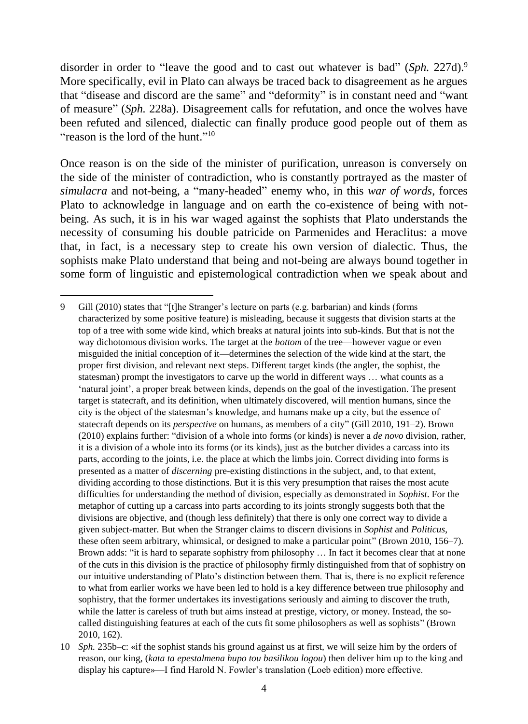disorder in order to "leave the good and to cast out whatever is bad" (*Sph.* 227d).<sup>9</sup> More specifically, evil in Plato can always be traced back to disagreement as he argues that "disease and discord are the same" and "deformity" is in constant need and "want of measure" (*Sph.* 228a). Disagreement calls for refutation, and once the wolves have been refuted and silenced, dialectic can finally produce good people out of them as "reason is the lord of the hunt."<sup>10</sup>

Once reason is on the side of the minister of purification, unreason is conversely on the side of the minister of contradiction, who is constantly portrayed as the master of *simulacra* and not-being, a "many-headed" enemy who, in this *war of words*, forces Plato to acknowledge in language and on earth the co-existence of being with notbeing. As such, it is in his war waged against the sophists that Plato understands the necessity of consuming his double patricide on Parmenides and Heraclitus: a move that, in fact, is a necessary step to create his own version of dialectic. Thus, the sophists make Plato understand that being and not-being are always bound together in some form of linguistic and epistemological contradiction when we speak about and

<u>.</u>

<sup>9</sup> Gill (2010) states that "[t]he Stranger's lecture on parts (e.g. barbarian) and kinds (forms characterized by some positive feature) is misleading, because it suggests that division starts at the top of a tree with some wide kind, which breaks at natural joints into sub-kinds. But that is not the way dichotomous division works. The target at the *bottom* of the tree—however vague or even misguided the initial conception of it—determines the selection of the wide kind at the start, the proper first division, and relevant next steps. Different target kinds (the angler, the sophist, the statesman) prompt the investigators to carve up the world in different ways … what counts as a 'natural joint', a proper break between kinds, depends on the goal of the investigation. The present target is statecraft, and its definition, when ultimately discovered, will mention humans, since the city is the object of the statesman's knowledge, and humans make up a city, but the essence of statecraft depends on its *perspective* on humans, as members of a city" (Gill 2010, 191–2). Brown (2010) explains further: "division of a whole into forms (or kinds) is never a *de novo* division, rather, it is a division of a whole into its forms (or its kinds), just as the butcher divides a carcass into its parts, according to the joints, i.e. the place at which the limbs join. Correct dividing into forms is presented as a matter of *discerning* pre-existing distinctions in the subject, and, to that extent, dividing according to those distinctions. But it is this very presumption that raises the most acute difficulties for understanding the method of division, especially as demonstrated in *Sophist*. For the metaphor of cutting up a carcass into parts according to its joints strongly suggests both that the divisions are objective, and (though less definitely) that there is only one correct way to divide a given subject-matter. But when the Stranger claims to discern divisions in *Sophist* and *Politicus*, these often seem arbitrary, whimsical, or designed to make a particular point" (Brown 2010, 156–7). Brown adds: "it is hard to separate sophistry from philosophy ... In fact it becomes clear that at none of the cuts in this division is the practice of philosophy firmly distinguished from that of sophistry on our intuitive understanding of Plato's distinction between them. That is, there is no explicit reference to what from earlier works we have been led to hold is a key difference between true philosophy and sophistry, that the former undertakes its investigations seriously and aiming to discover the truth, while the latter is careless of truth but aims instead at prestige, victory, or money. Instead, the socalled distinguishing features at each of the cuts fit some philosophers as well as sophists" (Brown 2010, 162).

<sup>10</sup> *Sph.* 235b–c: «if the sophist stands his ground against us at first, we will seize him by the orders of reason, our king, (*kata ta epestalmena hupo tou basilikou logou*) then deliver him up to the king and display his capture»—I find Harold N. Fowler's translation (Loeb edition) more effective.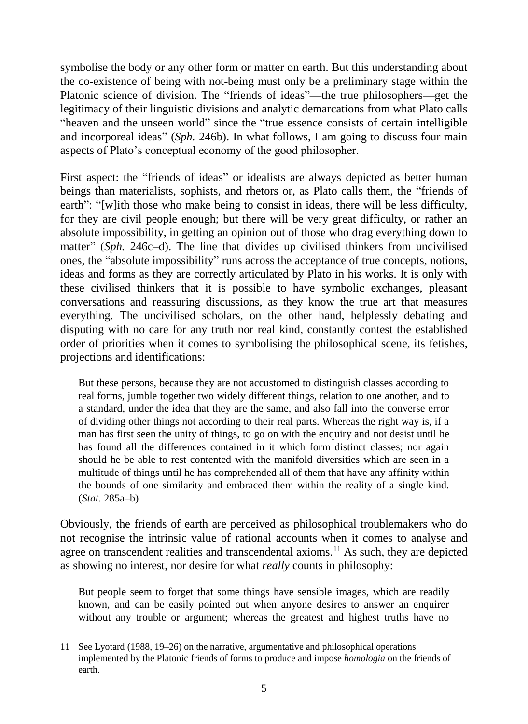symbolise the body or any other form or matter on earth. But this understanding about the co-existence of being with not-being must only be a preliminary stage within the Platonic science of division. The "friends of ideas"—the true philosophers—get the legitimacy of their linguistic divisions and analytic demarcations from what Plato calls "heaven and the unseen world" since the "true essence consists of certain intelligible and incorporeal ideas" (*Sph.* 246b). In what follows, I am going to discuss four main aspects of Plato's conceptual economy of the good philosopher.

First aspect: the "friends of ideas" or idealists are always depicted as better human beings than materialists, sophists, and rhetors or, as Plato calls them, the "friends of earth": "[w]ith those who make being to consist in ideas, there will be less difficulty, for they are civil people enough; but there will be very great difficulty, or rather an absolute impossibility, in getting an opinion out of those who drag everything down to matter" (*Sph.* 246c–d). The line that divides up civilised thinkers from uncivilised ones, the "absolute impossibility" runs across the acceptance of true concepts, notions, ideas and forms as they are correctly articulated by Plato in his works. It is only with these civilised thinkers that it is possible to have symbolic exchanges, pleasant conversations and reassuring discussions, as they know the true art that measures everything. The uncivilised scholars, on the other hand, helplessly debating and disputing with no care for any truth nor real kind, constantly contest the established order of priorities when it comes to symbolising the philosophical scene, its fetishes, projections and identifications:

But these persons, because they are not accustomed to distinguish classes according to real forms, jumble together two widely different things, relation to one another, and to a standard, under the idea that they are the same, and also fall into the converse error of dividing other things not according to their real parts. Whereas the right way is, if a man has first seen the unity of things, to go on with the enquiry and not desist until he has found all the differences contained in it which form distinct classes; nor again should he be able to rest contented with the manifold diversities which are seen in a multitude of things until he has comprehended all of them that have any affinity within the bounds of one similarity and embraced them within the reality of a single kind. (*Stat.* 285a–b)

Obviously, the friends of earth are perceived as philosophical troublemakers who do not recognise the intrinsic value of rational accounts when it comes to analyse and agree on transcendent realities and transcendental axioms.<sup>11</sup> As such, they are depicted as showing no interest, nor desire for what *really* counts in philosophy:

But people seem to forget that some things have sensible images, which are readily known, and can be easily pointed out when anyone desires to answer an enquirer without any trouble or argument; whereas the greatest and highest truths have no

<sup>11</sup> See Lyotard (1988, 19–26) on the narrative, argumentative and philosophical operations implemented by the Platonic friends of forms to produce and impose *homologia* on the friends of earth.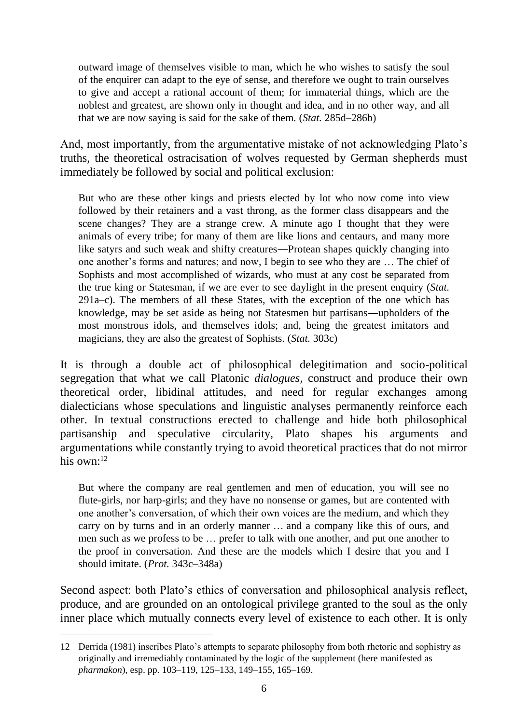outward image of themselves visible to man, which he who wishes to satisfy the soul of the enquirer can adapt to the eye of sense, and therefore we ought to train ourselves to give and accept a rational account of them; for immaterial things, which are the noblest and greatest, are shown only in thought and idea, and in no other way, and all that we are now saying is said for the sake of them. (*Stat.* 285d–286b)

And, most importantly, from the argumentative mistake of not acknowledging Plato's truths, the theoretical ostracisation of wolves requested by German shepherds must immediately be followed by social and political exclusion:

But who are these other kings and priests elected by lot who now come into view followed by their retainers and a vast throng, as the former class disappears and the scene changes? They are a strange crew. A minute ago I thought that they were animals of every tribe; for many of them are like lions and centaurs, and many more like satyrs and such weak and shifty creatures―Protean shapes quickly changing into one another's forms and natures; and now, I begin to see who they are … The chief of Sophists and most accomplished of wizards, who must at any cost be separated from the true king or Statesman, if we are ever to see daylight in the present enquiry (*Stat.* 291a–c). The members of all these States, with the exception of the one which has knowledge, may be set aside as being not Statesmen but partisans―upholders of the most monstrous idols, and themselves idols; and, being the greatest imitators and magicians, they are also the greatest of Sophists. (*Stat.* 303c)

It is through a double act of philosophical delegitimation and socio-political segregation that what we call Platonic *dialogues,* construct and produce their own theoretical order, libidinal attitudes, and need for regular exchanges among dialecticians whose speculations and linguistic analyses permanently reinforce each other. In textual constructions erected to challenge and hide both philosophical partisanship and speculative circularity, Plato shapes his arguments and argumentations while constantly trying to avoid theoretical practices that do not mirror his own $<sup>12</sup>$ </sup>

But where the company are real gentlemen and men of education, you will see no flute-girls, nor harp-girls; and they have no nonsense or games, but are contented with one another's conversation, of which their own voices are the medium, and which they carry on by turns and in an orderly manner … and a company like this of ours, and men such as we profess to be … prefer to talk with one another, and put one another to the proof in conversation. And these are the models which I desire that you and I should imitate. (*Prot.* 343c–348a)

Second aspect: both Plato's ethics of conversation and philosophical analysis reflect, produce, and are grounded on an ontological privilege granted to the soul as the only inner place which mutually connects every level of existence to each other. It is only

<sup>12</sup> Derrida (1981) inscribes Plato's attempts to separate philosophy from both rhetoric and sophistry as originally and irremediably contaminated by the logic of the supplement (here manifested as *pharmakon*), esp. pp. 103–119, 125–133, 149–155, 165–169.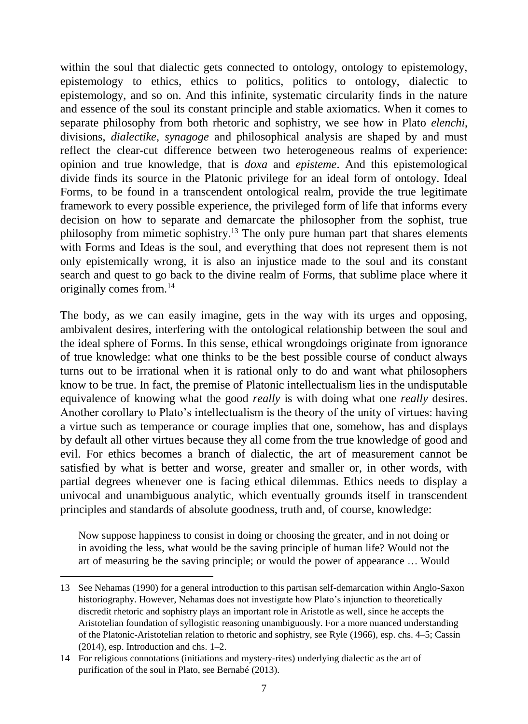within the soul that dialectic gets connected to ontology, ontology to epistemology, epistemology to ethics, ethics to politics, politics to ontology, dialectic to epistemology, and so on. And this infinite, systematic circularity finds in the nature and essence of the soul its constant principle and stable axiomatics. When it comes to separate philosophy from both rhetoric and sophistry, we see how in Plato *elenchi*, divisions, *dialectike*, *synagoge* and philosophical analysis are shaped by and must reflect the clear-cut difference between two heterogeneous realms of experience: opinion and true knowledge, that is *doxa* and *episteme*. And this epistemological divide finds its source in the Platonic privilege for an ideal form of ontology. Ideal Forms, to be found in a transcendent ontological realm, provide the true legitimate framework to every possible experience, the privileged form of life that informs every decision on how to separate and demarcate the philosopher from the sophist, true philosophy from mimetic sophistry. <sup>13</sup> The only pure human part that shares elements with Forms and Ideas is the soul, and everything that does not represent them is not only epistemically wrong, it is also an injustice made to the soul and its constant search and quest to go back to the divine realm of Forms, that sublime place where it originally comes from.<sup>14</sup>

The body, as we can easily imagine, gets in the way with its urges and opposing, ambivalent desires, interfering with the ontological relationship between the soul and the ideal sphere of Forms. In this sense, ethical wrongdoings originate from ignorance of true knowledge: what one thinks to be the best possible course of conduct always turns out to be irrational when it is rational only to do and want what philosophers know to be true. In fact, the premise of Platonic intellectualism lies in the undisputable equivalence of knowing what the good *really* is with doing what one *really* desires. Another corollary to Plato's intellectualism is the theory of the unity of virtues: having a virtue such as temperance or courage implies that one, somehow, has and displays by default all other virtues because they all come from the true knowledge of good and evil. For ethics becomes a branch of dialectic, the art of measurement cannot be satisfied by what is better and worse, greater and smaller or, in other words, with partial degrees whenever one is facing ethical dilemmas. Ethics needs to display a univocal and unambiguous analytic, which eventually grounds itself in transcendent principles and standards of absolute goodness, truth and, of course, knowledge:

Now suppose happiness to consist in doing or choosing the greater, and in not doing or in avoiding the less, what would be the saving principle of human life? Would not the art of measuring be the saving principle; or would the power of appearance … Would

<sup>13</sup> See Nehamas (1990) for a general introduction to this partisan self-demarcation within Anglo-Saxon historiography. However, Nehamas does not investigate how Plato's injunction to theoretically discredit rhetoric and sophistry plays an important role in Aristotle as well, since he accepts the Aristotelian foundation of syllogistic reasoning unambiguously. For a more nuanced understanding of the Platonic-Aristotelian relation to rhetoric and sophistry, see Ryle (1966), esp. chs. 4–5; Cassin (2014), esp. Introduction and chs. 1–2.

<sup>14</sup> For religious connotations (initiations and mystery-rites) underlying dialectic as the art of purification of the soul in Plato, see Bernabé (2013).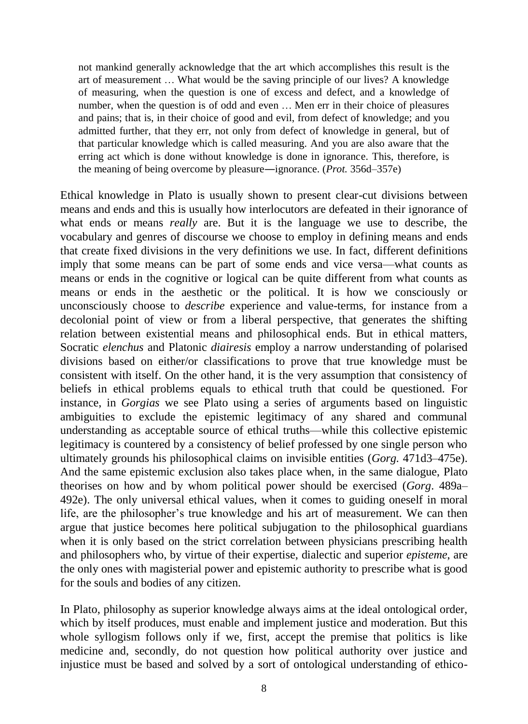not mankind generally acknowledge that the art which accomplishes this result is the art of measurement … What would be the saving principle of our lives? A knowledge of measuring, when the question is one of excess and defect, and a knowledge of number, when the question is of odd and even … Men err in their choice of pleasures and pains; that is, in their choice of good and evil, from defect of knowledge; and you admitted further, that they err, not only from defect of knowledge in general, but of that particular knowledge which is called measuring. And you are also aware that the erring act which is done without knowledge is done in ignorance. This, therefore, is the meaning of being overcome by pleasure―ignorance. (*Prot.* 356d–357e)

Ethical knowledge in Plato is usually shown to present clear-cut divisions between means and ends and this is usually how interlocutors are defeated in their ignorance of what ends or means *really* are. But it is the language we use to describe, the vocabulary and genres of discourse we choose to employ in defining means and ends that create fixed divisions in the very definitions we use. In fact, different definitions imply that some means can be part of some ends and vice versa—what counts as means or ends in the cognitive or logical can be quite different from what counts as means or ends in the aesthetic or the political. It is how we consciously or unconsciously choose to *describe* experience and value-terms, for instance from a decolonial point of view or from a liberal perspective, that generates the shifting relation between existential means and philosophical ends. But in ethical matters, Socratic *elenchus* and Platonic *diairesis* employ a narrow understanding of polarised divisions based on either/or classifications to prove that true knowledge must be consistent with itself. On the other hand, it is the very assumption that consistency of beliefs in ethical problems equals to ethical truth that could be questioned. For instance, in *Gorgias* we see Plato using a series of arguments based on linguistic ambiguities to exclude the epistemic legitimacy of any shared and communal understanding as acceptable source of ethical truths—while this collective epistemic legitimacy is countered by a consistency of belief professed by one single person who ultimately grounds his philosophical claims on invisible entities (*Gorg.* 471d3–475e). And the same epistemic exclusion also takes place when, in the same dialogue, Plato theorises on how and by whom political power should be exercised (*Gorg*. 489a– 492e). The only universal ethical values, when it comes to guiding oneself in moral life, are the philosopher's true knowledge and his art of measurement. We can then argue that justice becomes here political subjugation to the philosophical guardians when it is only based on the strict correlation between physicians prescribing health and philosophers who, by virtue of their expertise, dialectic and superior *episteme*, are the only ones with magisterial power and epistemic authority to prescribe what is good for the souls and bodies of any citizen.

In Plato, philosophy as superior knowledge always aims at the ideal ontological order, which by itself produces, must enable and implement justice and moderation. But this whole syllogism follows only if we, first, accept the premise that politics is like medicine and, secondly, do not question how political authority over justice and injustice must be based and solved by a sort of ontological understanding of ethico-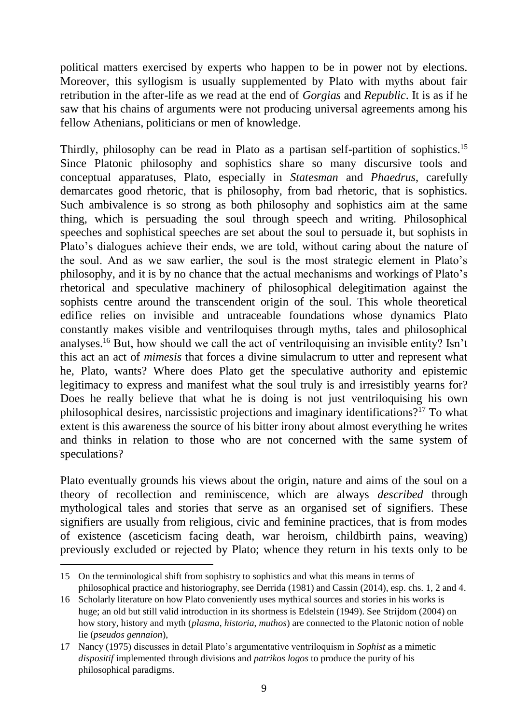political matters exercised by experts who happen to be in power not by elections. Moreover, this syllogism is usually supplemented by Plato with myths about fair retribution in the after-life as we read at the end of *Gorgias* and *Republic*. It is as if he saw that his chains of arguments were not producing universal agreements among his fellow Athenians, politicians or men of knowledge.

Thirdly, philosophy can be read in Plato as a partisan self-partition of sophistics.<sup>15</sup> Since Platonic philosophy and sophistics share so many discursive tools and conceptual apparatuses, Plato, especially in *Statesman* and *Phaedrus*, carefully demarcates good rhetoric, that is philosophy, from bad rhetoric, that is sophistics. Such ambivalence is so strong as both philosophy and sophistics aim at the same thing, which is persuading the soul through speech and writing. Philosophical speeches and sophistical speeches are set about the soul to persuade it, but sophists in Plato's dialogues achieve their ends, we are told, without caring about the nature of the soul. And as we saw earlier, the soul is the most strategic element in Plato's philosophy, and it is by no chance that the actual mechanisms and workings of Plato's rhetorical and speculative machinery of philosophical delegitimation against the sophists centre around the transcendent origin of the soul. This whole theoretical edifice relies on invisible and untraceable foundations whose dynamics Plato constantly makes visible and ventriloquises through myths, tales and philosophical analyses.<sup>16</sup> But, how should we call the act of ventriloquising an invisible entity? Isn't this act an act of *mimesis* that forces a divine simulacrum to utter and represent what he, Plato, wants? Where does Plato get the speculative authority and epistemic legitimacy to express and manifest what the soul truly is and irresistibly yearns for? Does he really believe that what he is doing is not just ventriloquising his own philosophical desires, narcissistic projections and imaginary identifications?<sup>17</sup> To what extent is this awareness the source of his bitter irony about almost everything he writes and thinks in relation to those who are not concerned with the same system of speculations?

Plato eventually grounds his views about the origin, nature and aims of the soul on a theory of recollection and reminiscence, which are always *described* through mythological tales and stories that serve as an organised set of signifiers. These signifiers are usually from religious, civic and feminine practices, that is from modes of existence (asceticism facing death, war heroism, childbirth pains, weaving) previously excluded or rejected by Plato; whence they return in his texts only to be

<sup>15</sup> On the terminological shift from sophistry to sophistics and what this means in terms of philosophical practice and historiography, see Derrida (1981) and Cassin (2014), esp. chs. 1, 2 and 4.

<sup>16</sup> Scholarly literature on how Plato conveniently uses mythical sources and stories in his works is huge; an old but still valid introduction in its shortness is Edelstein (1949). See Strijdom (2004) on how story, history and myth (*plasma*, *historia*, *muthos*) are connected to the Platonic notion of noble lie (*pseudos gennaion*),

<sup>17</sup> Nancy (1975) discusses in detail Plato's argumentative ventriloquism in *Sophist* as a mimetic *dispositif* implemented through divisions and *patrikos logos* to produce the purity of his philosophical paradigms.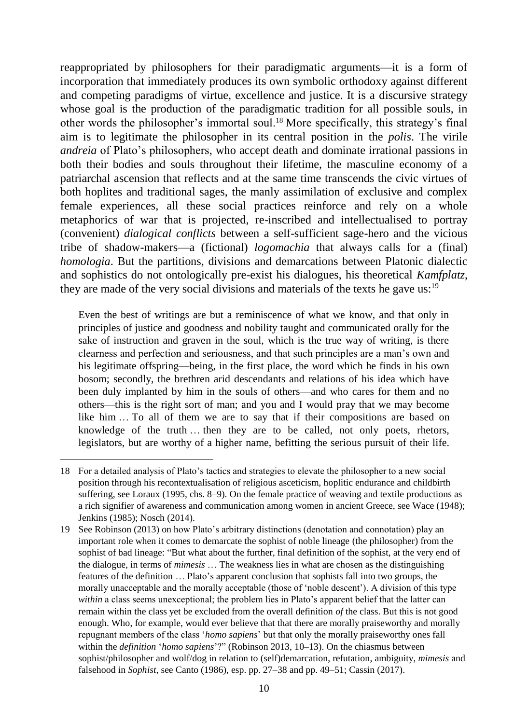reappropriated by philosophers for their paradigmatic arguments—it is a form of incorporation that immediately produces its own symbolic orthodoxy against different and competing paradigms of virtue, excellence and justice. It is a discursive strategy whose goal is the production of the paradigmatic tradition for all possible souls, in other words the philosopher's immortal soul.<sup>18</sup> More specifically, this strategy's final aim is to legitimate the philosopher in its central position in the *polis*. The virile *andreia* of Plato's philosophers, who accept death and dominate irrational passions in both their bodies and souls throughout their lifetime, the masculine economy of a patriarchal ascension that reflects and at the same time transcends the civic virtues of both hoplites and traditional sages, the manly assimilation of exclusive and complex female experiences, all these social practices reinforce and rely on a whole metaphorics of war that is projected, re-inscribed and intellectualised to portray (convenient) *dialogical conflicts* between a self-sufficient sage-hero and the vicious tribe of shadow-makers—a (fictional) *logomachia* that always calls for a (final) *homologia*. But the partitions, divisions and demarcations between Platonic dialectic and sophistics do not ontologically pre-exist his dialogues, his theoretical *Kamfplatz*, they are made of the very social divisions and materials of the texts he gave us:<sup>19</sup>

Even the best of writings are but a reminiscence of what we know, and that only in principles of justice and goodness and nobility taught and communicated orally for the sake of instruction and graven in the soul, which is the true way of writing, is there clearness and perfection and seriousness, and that such principles are a man's own and his legitimate offspring—being, in the first place, the word which he finds in his own bosom; secondly, the brethren arid descendants and relations of his idea which have been duly implanted by him in the souls of others—and who cares for them and no others—this is the right sort of man; and you and I would pray that we may become like him … To all of them we are to say that if their compositions are based on knowledge of the truth … then they are to be called, not only poets, rhetors, legislators, but are worthy of a higher name, befitting the serious pursuit of their life.

<u>.</u>

<sup>18</sup> For a detailed analysis of Plato's tactics and strategies to elevate the philosopher to a new social position through his recontextualisation of religious asceticism, hoplitic endurance and childbirth suffering, see Loraux (1995, chs. 8–9). On the female practice of weaving and textile productions as a rich signifier of awareness and communication among women in ancient Greece, see Wace (1948); Jenkins (1985); Nosch (2014).

<sup>19</sup> See Robinson (2013) on how Plato's arbitrary distinctions (denotation and connotation) play an important role when it comes to demarcate the sophist of noble lineage (the philosopher) from the sophist of bad lineage: "But what about the further, final definition of the sophist, at the very end of the dialogue, in terms of *mimesis* … The weakness lies in what are chosen as the distinguishing features of the definition … Plato's apparent conclusion that sophists fall into two groups, the morally unacceptable and the morally acceptable (those of 'noble descent'). A division of this type *within* a class seems unexceptional; the problem lies in Plato's apparent belief that the latter can remain within the class yet be excluded from the overall definition *of* the class. But this is not good enough. Who, for example, would ever believe that that there are morally praiseworthy and morally repugnant members of the class '*homo sapiens*' but that only the morally praiseworthy ones fall within the *definition* '*homo sapiens*'?" (Robinson 2013, 10–13). On the chiasmus between sophist/philosopher and wolf/dog in relation to (self)demarcation, refutation, ambiguity, *mimesis* and falsehood in *Sophist*, see Canto (1986), esp. pp. 27–38 and pp. 49–51; Cassin (2017).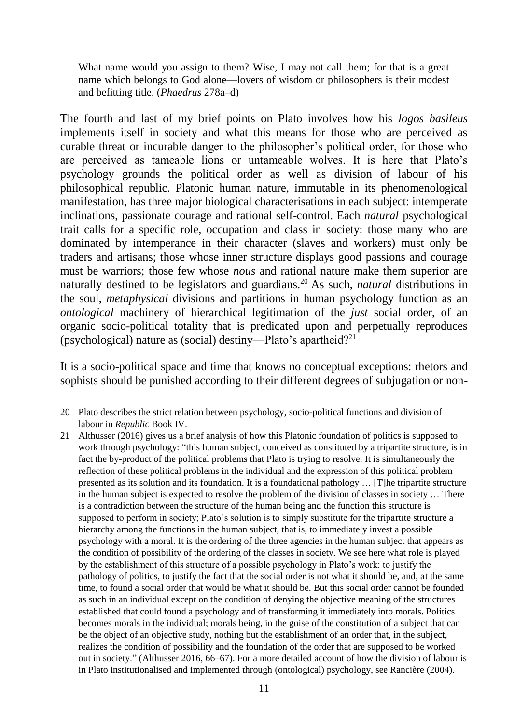What name would you assign to them? Wise, I may not call them; for that is a great name which belongs to God alone—lovers of wisdom or philosophers is their modest and befitting title. (*Phaedrus* 278a–d)

The fourth and last of my brief points on Plato involves how his *logos basileus* implements itself in society and what this means for those who are perceived as curable threat or incurable danger to the philosopher's political order, for those who are perceived as tameable lions or untameable wolves. It is here that Plato's psychology grounds the political order as well as division of labour of his philosophical republic. Platonic human nature, immutable in its phenomenological manifestation, has three major biological characterisations in each subject: intemperate inclinations, passionate courage and rational self-control. Each *natural* psychological trait calls for a specific role, occupation and class in society: those many who are dominated by intemperance in their character (slaves and workers) must only be traders and artisans; those whose inner structure displays good passions and courage must be warriors; those few whose *nous* and rational nature make them superior are naturally destined to be legislators and guardians.<sup>20</sup> As such, *natural* distributions in the soul, *metaphysical* divisions and partitions in human psychology function as an *ontological* machinery of hierarchical legitimation of the *just* social order, of an organic socio-political totality that is predicated upon and perpetually reproduces (psychological) nature as (social) destiny—Plato's apartheid?<sup>21</sup>

It is a socio-political space and time that knows no conceptual exceptions: rhetors and sophists should be punished according to their different degrees of subjugation or non-

<sup>20</sup> Plato describes the strict relation between psychology, socio-political functions and division of labour in *Republic* Book IV.

<sup>21</sup> Althusser (2016) gives us a brief analysis of how this Platonic foundation of politics is supposed to work through psychology: "this human subject, conceived as constituted by a tripartite structure, is in fact the by-product of the political problems that Plato is trying to resolve. It is simultaneously the reflection of these political problems in the individual and the expression of this political problem presented as its solution and its foundation. It is a foundational pathology … [T]he tripartite structure in the human subject is expected to resolve the problem of the division of classes in society … There is a contradiction between the structure of the human being and the function this structure is supposed to perform in society; Plato's solution is to simply substitute for the tripartite structure a hierarchy among the functions in the human subject, that is, to immediately invest a possible psychology with a moral. It is the ordering of the three agencies in the human subject that appears as the condition of possibility of the ordering of the classes in society. We see here what role is played by the establishment of this structure of a possible psychology in Plato's work: to justify the pathology of politics, to justify the fact that the social order is not what it should be, and, at the same time, to found a social order that would be what it should be. But this social order cannot be founded as such in an individual except on the condition of denying the objective meaning of the structures established that could found a psychology and of transforming it immediately into morals. Politics becomes morals in the individual; morals being, in the guise of the constitution of a subject that can be the object of an objective study, nothing but the establishment of an order that, in the subject, realizes the condition of possibility and the foundation of the order that are supposed to be worked out in society." (Althusser 2016, 66–67). For a more detailed account of how the division of labour is in Plato institutionalised and implemented through (ontological) psychology, see Rancière (2004).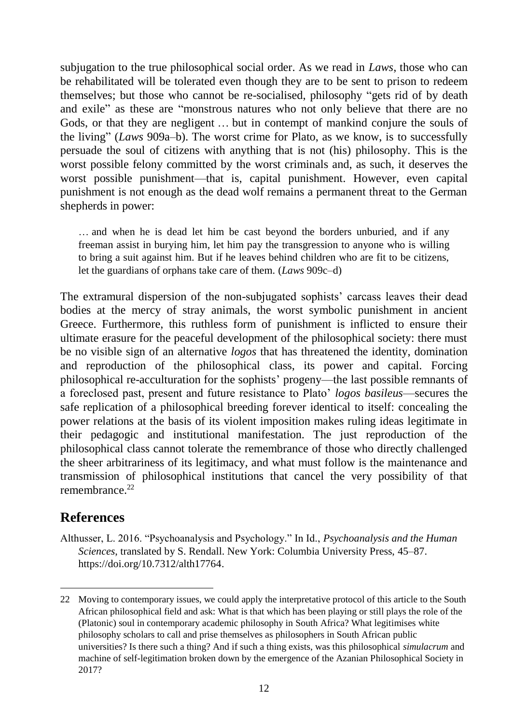subjugation to the true philosophical social order. As we read in *Laws*, those who can be rehabilitated will be tolerated even though they are to be sent to prison to redeem themselves; but those who cannot be re-socialised, philosophy "gets rid of by death and exile" as these are "monstrous natures who not only believe that there are no Gods, or that they are negligent … but in contempt of mankind conjure the souls of the living" (*Laws* 909a–b). The worst crime for Plato, as we know, is to successfully persuade the soul of citizens with anything that is not (his) philosophy. This is the worst possible felony committed by the worst criminals and, as such, it deserves the worst possible punishment—that is, capital punishment. However, even capital punishment is not enough as the dead wolf remains a permanent threat to the German shepherds in power:

… and when he is dead let him be cast beyond the borders unburied, and if any freeman assist in burying him, let him pay the transgression to anyone who is willing to bring a suit against him. But if he leaves behind children who are fit to be citizens, let the guardians of orphans take care of them. (*Laws* 909c–d)

The extramural dispersion of the non-subjugated sophists' carcass leaves their dead bodies at the mercy of stray animals, the worst symbolic punishment in ancient Greece. Furthermore, this ruthless form of punishment is inflicted to ensure their ultimate erasure for the peaceful development of the philosophical society: there must be no visible sign of an alternative *logos* that has threatened the identity, domination and reproduction of the philosophical class, its power and capital. Forcing philosophical re-acculturation for the sophists' progeny—the last possible remnants of a foreclosed past, present and future resistance to Plato' *logos basileus*—secures the safe replication of a philosophical breeding forever identical to itself: concealing the power relations at the basis of its violent imposition makes ruling ideas legitimate in their pedagogic and institutional manifestation. The just reproduction of the philosophical class cannot tolerate the remembrance of those who directly challenged the sheer arbitrariness of its legitimacy, and what must follow is the maintenance and transmission of philosophical institutions that cancel the very possibility of that remembrance<sup>22</sup>

#### **References**

-

Althusser, L. 2016. "Psychoanalysis and Psychology." In Id., *Psychoanalysis and the Human Sciences*, translated by S. Rendall. New York: Columbia University Press, 45–87. [https://doi.org/10.7312/alth17764.](https://doi.org/10.7312/alth17764)

<sup>22</sup> Moving to contemporary issues, we could apply the interpretative protocol of this article to the South African philosophical field and ask: What is that which has been playing or still plays the role of the (Platonic) soul in contemporary academic philosophy in South Africa? What legitimises white philosophy scholars to call and prise themselves as philosophers in South African public universities? Is there such a thing? And if such a thing exists, was this philosophical *simulacrum* and machine of self-legitimation broken down by the emergence of the Azanian Philosophical Society in 2017?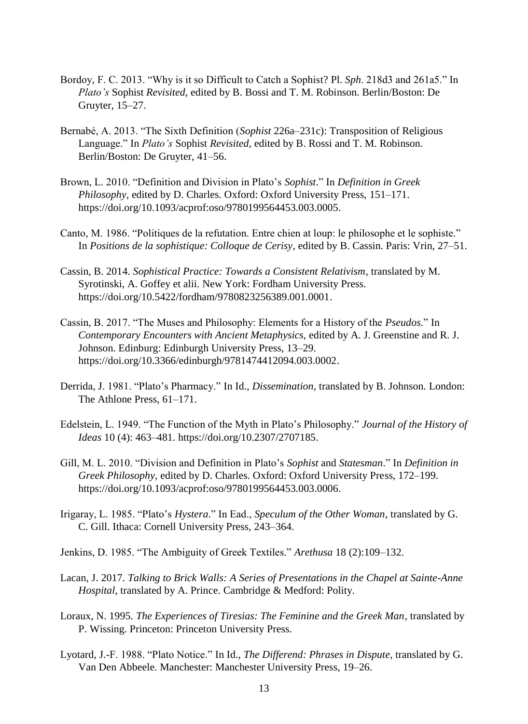- Bordoy, F. C. 2013. "Why is it so Difficult to Catch a Sophist? Pl. *Sph*. 218d3 and 261a5." In *Plato's* Sophist *Revisited*, edited by B. Bossi and T. M. Robinson. Berlin/Boston: De Gruyter, 15–27.
- Bernabé, A. 2013. "The Sixth Definition (*Sophist* 226a–231c): Transposition of Religious Language." In *Plato's* Sophist *Revisited*, edited by B. Rossi and T. M. Robinson. Berlin/Boston: De Gruyter, 41–56.
- Brown, L. 2010. "Definition and Division in Plato's *Sophist*." In *Definition in Greek Philosophy*, edited by D. Charles. Oxford: Oxford University Press, 151–171. [https://doi.org/10.1093/acprof:oso/9780199564453.003.0005.](https://doi.org/10.1093/acprof:oso/9780199564453.003.0005)
- Canto, M. 1986. "Politiques de la refutation. Entre chien at loup: le philosophe et le sophiste." In *Positions de la sophistique: Colloque de Cerisy*, edited by B. Cassin. Paris: Vrin, 27–51.
- Cassin, B. 2014. *Sophistical Practice: Towards a Consistent Relativism*, translated by M. Syrotinski, A. Goffey et alii. New York: Fordham University Press. [https://doi.org/10.5422/fordham/9780823256389.001.0001.](https://doi.org/10.5422/fordham/9780823256389.001.0001)
- Cassin, B. 2017. "The Muses and Philosophy: Elements for a History of the *Pseudos*." In *Contemporary Encounters with Ancient Metaphysics*, edited by A. J. Greenstine and R. J. Johnson. Edinburg: Edinburgh University Press, 13–29. [https://doi.org/10.3366/edinburgh/9781474412094.003.0002.](https://doi.org/10.3366/edinburgh/9781474412094.003.0002)
- Derrida, J. 1981. "Plato's Pharmacy." In Id., *Dissemination*, translated by B. Johnson. London: The Athlone Press, 61–171.
- Edelstein, L. 1949. "The Function of the Myth in Plato's Philosophy." *Journal of the History of Ideas* 10 (4): 463–481. [https://doi.org/10.2307/2707185.](https://doi.org/10.2307/2707185)
- Gill, M. L. 2010. "Division and Definition in Plato's *Sophist* and *Statesman*." In *Definition in Greek Philosophy*, edited by D. Charles. Oxford: Oxford University Press, 172–199. [https://doi.org/10.1093/acprof:oso/9780199564453.003.0006.](https://doi.org/10.1093/acprof:oso/9780199564453.003.0006)
- Irigaray, L. 1985. "Plato's *Hystera*." In Ead., *Speculum of the Other Woman*, translated by G. C. Gill. Ithaca: Cornell University Press, 243–364.
- Jenkins, D. 1985. "The Ambiguity of Greek Textiles." *Arethusa* 18 (2):109–132.
- Lacan, J. 2017. *Talking to Brick Walls: A Series of Presentations in the Chapel at Sainte-Anne Hospital*, translated by A. Prince. Cambridge & Medford: Polity.
- Loraux, N. 1995. *The Experiences of Tiresias: The Feminine and the Greek Man*, translated by P. Wissing. Princeton: Princeton University Press.
- Lyotard, J.-F. 1988. "Plato Notice." In Id., *The Differend: Phrases in Dispute*, translated by G. Van Den Abbeele. Manchester: Manchester University Press, 19–26.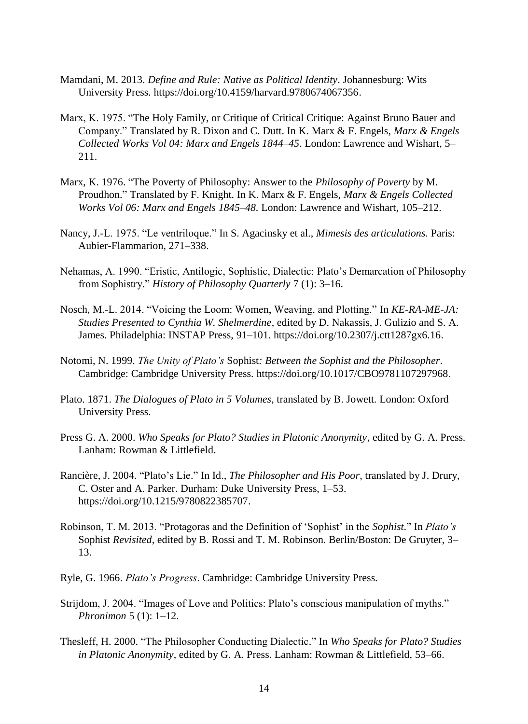- Mamdani, M. 2013. *Define and Rule: Native as Political Identity*. Johannesburg: Wits University Press. [https://doi.org/10.4159/harvard.9780674067356.](https://doi.org/10.4159/harvard.9780674067356)
- Marx, K. 1975. "The Holy Family, or Critique of Critical Critique: Against Bruno Bauer and Company." Translated by R. Dixon and C. Dutt. In K. Marx & F. Engels, *Marx & Engels Collected Works Vol 04: Marx and Engels 1844–45*. London: Lawrence and Wishart, 5– 211.
- Marx, K. 1976. "The Poverty of Philosophy: Answer to the *Philosophy of Poverty* by M. Proudhon." Translated by F. Knight. In K. Marx & F. Engels, *Marx & Engels Collected Works Vol 06: Marx and Engels 1845–48.* London: Lawrence and Wishart, 105–212.
- Nancy, J.-L. 1975. "Le ventriloque." In S. Agacinsky et al., *Mimesis des articulations.* Paris: Aubier-Flammarion, 271–338.
- Nehamas, A. 1990. "Eristic, Antilogic, Sophistic, Dialectic: Plato's Demarcation of Philosophy from Sophistry." *History of Philosophy Quarterly* 7 (1): 3–16.
- Nosch, M.-L. 2014. "Voicing the Loom: Women, Weaving, and Plotting." In *KE-RA-ME-JA: Studies Presented to Cynthia W. Shelmerdine*, edited by D. Nakassis, J. Gulizio and S. A. James. Philadelphia: INSTAP Press, 91–101. [https://doi.org/10.2307/j.ctt1287gx6.16.](https://doi.org/10.2307/j.ctt1287gx6.16)
- Notomi, N. 1999. *The Unity of Plato's* Sophist*: Between the Sophist and the Philosopher*. Cambridge: Cambridge University Press. [https://doi.org/10.1017/CBO9781107297968.](https://doi.org/10.1017/CBO9781107297968)
- Plato. 1871. *The Dialogues of Plato in 5 Volumes*, translated by B. Jowett. London: Oxford University Press.
- Press G. A. 2000. *Who Speaks for Plato? Studies in Platonic Anonymity*, edited by G. A. Press. Lanham: Rowman & Littlefield.
- Rancière, J. 2004. "Plato's Lie." In Id., *The Philosopher and His Poor*, translated by J. Drury, C. Oster and A. Parker. Durham: Duke University Press, 1–53. [https://doi.org/10.1215/9780822385707.](https://doi.org/10.1215/9780822385707)
- Robinson, T. M. 2013. "Protagoras and the Definition of 'Sophist' in the *Sophist*." In *Plato's*  Sophist *Revisited*, edited by B. Rossi and T. M. Robinson. Berlin/Boston: De Gruyter, 3– 13.
- Ryle, G. 1966. *Plato's Progress*. Cambridge: Cambridge University Press.
- Strijdom, J. 2004. "Images of Love and Politics: Plato's conscious manipulation of myths." *Phronimon* 5 (1): 1–12.
- Thesleff, H. 2000. "The Philosopher Conducting Dialectic." In *Who Speaks for Plato? Studies in Platonic Anonymity*, edited by G. A. Press. Lanham: Rowman & Littlefield, 53–66.